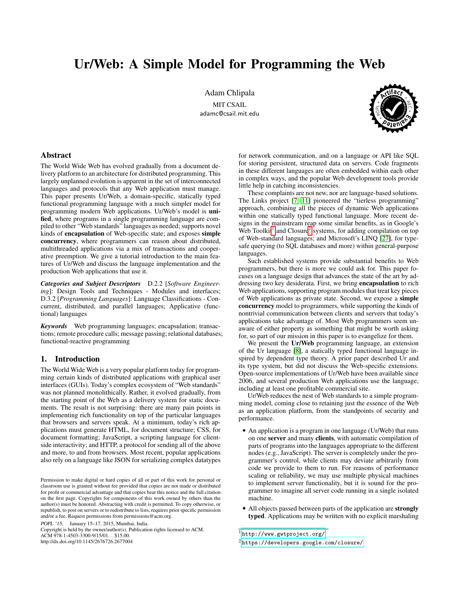# Ur/Web: A Simple Model for Programming the Web

Adam Chlipala MIT CSAIL adamc@csail.mit.edu



## Abstract

The World Wide Web has evolved gradually from a document delivery platform to an architecture for distributed programming. This largely unplanned evolution is apparent in the set of interconnected languages and protocols that any Web application must manage. This paper presents Ur/Web, a domain-specific, statically typed functional programming language with a much simpler model for programming modern Web applications. Ur/Web's model is unified, where programs in a single programming language are compiled to other "Web standards" languages as needed; supports novel kinds of encapsulation of Web-specific state; and exposes simple concurrency, where programmers can reason about distributed, multithreaded applications via a mix of transactions and cooperative preemption. We give a tutorial introduction to the main features of Ur/Web and discuss the language implementation and the production Web applications that use it.

*Categories and Subject Descriptors* D.2.2 [*Software Engineering*]: Design Tools and Techniques - Modules and interfaces; D.3.2 [*Programming Languages*]: Language Classifications - Concurrent, distributed, and parallel languages; Applicative (functional) languages

*Keywords* Web programming languages; encapsulation; transactions; remote procedure calls; message passing; relational databases; functional-reactive programming

# 1. Introduction

The World Wide Web is a very popular platform today for programming certain kinds of distributed applications with graphical user interfaces (GUIs). Today's complex ecosystem of "Web standards" was not planned monolithically. Rather, it evolved gradually, from the starting point of the Web as a delivery system for static documents. The result is not surprising: there are many pain points in implementing rich functionality on top of the particular languages that browsers and servers speak. At a minimum, today's rich applications must generate HTML, for document structure; CSS, for document formatting; JavaScript, a scripting language for clientside interactivity; and HTTP, a protocol for sending all of the above and more, to and from browsers. Most recent, popular applications also rely on a language like JSON for serializing complex datatypes

POPL '15, January 15–17, 2015, Mumbai, India.

Copyright is held by the owner/author(s). Publication rights licensed to ACM. ACM 978-1-4503-3300-9/15/01... \$15.00. http://dx.doi.org/10.1145/2676726.2677004

for network communication, and on a language or API like SQL for storing persistent, structured data on servers. Code fragments in these different languages are often embedded within each other in complex ways, and the popular Web development tools provide little help in catching inconsistencies.

These complaints are not new, nor are language-based solutions. The Links project [\[7,](#page-12-0) [11\]](#page-12-1) pioneered the "tierless programming" approach, combining all the pieces of dynamic Web applications within one statically typed functional language. More recent designs in the mainstream reap some similar benefits, as in Google's Web Toolkit<sup>[1](#page-0-0)</sup> and Closure<sup>[2](#page-0-1)</sup> systems, for adding compilation on top of Web-standard languages; and Microsoft's LINQ [\[27\]](#page-12-2), for typesafe querying (to SQL databases and more) within general-purpose languages.

Such established systems provide substantial benefits to Web programmers, but there is more we could ask for. This paper focuses on a language design that advances the state of the art by addressing two key desiderata. First, we bring encapsulation to rich Web applications, supporting program modules that treat key pieces of Web applications as private state. Second, we expose a simple concurrency model to programmers, while supporting the kinds of nontrivial communication between clients and servers that today's applications take advantage of. Most Web programmers seem unaware of either property as something that might be worth asking for, so part of our mission in this paper is to evangelize for them.

We present the Ur/Web programming language, an extension of the Ur language [\[8\]](#page-12-3), a statically typed functional language inspired by dependent type theory. A prior paper described Ur and its type system, but did not discuss the Web-specific extensions. Open-source implementations of Ur/Web have been available since 2006, and several production Web applications use the language, including at least one profitable commercial site.

Ur/Web reduces the nest of Web standards to a simple programming model, coming close to retaining just the essence of the Web as an application platform, from the standpoints of security and performance.

- An application is a program in one language (Ur/Web) that runs on one server and many clients, with automatic compilation of parts of programs into the languages appropriate to the different nodes (e.g., JavaScript). The server is completely under the programmer's control, while clients may deviate arbitrarily from code we provide to them to run. For reasons of performance scaling or reliability, we may use multiple physical machines to implement server functionality, but it is sound for the programmer to imagine all server code running in a single isolated machine.
- All objects passed between parts of the application are **strongly** typed. Applications may be written with no explicit marshaling

Permission to make digital or hard copies of all or part of this work for personal or classroom use is granted without fee provided that copies are not made or distributed for profit or commercial advantage and that copies bear this notice and the full citation on the first page. Copyrights for components of this work owned by others than the author(s) must be honored. Abstracting with credit is permitted. To copy otherwise, or republish, to post on servers or to redistribute to lists, requires prior specific permission and/or a fee. Request permissions from permissions@acm.org.

<span id="page-0-0"></span><sup>1</sup> <http://www.gwtproject.org/>

<span id="page-0-1"></span><sup>2</sup> <https://developers.google.com/closure/>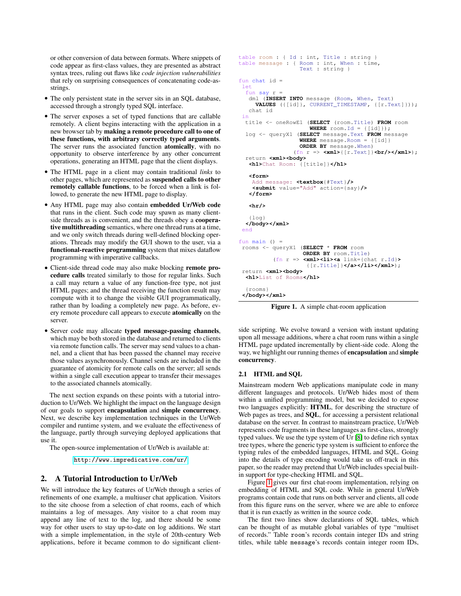or other conversion of data between formats. Where snippets of code appear as first-class values, they are presented as abstract syntax trees, ruling out flaws like *code injection vulnerabilities* that rely on surprising consequences of concatenating code-asstrings.

- The only persistent state in the server sits in an SQL database, accessed through a strongly typed SQL interface.
- The server exposes a set of typed functions that are callable remotely. A client begins interacting with the application in a new browser tab by making a remote procedure call to one of these functions, with arbitrary correctly typed arguments. The server runs the associated function atomically, with no opportunity to observe interference by any other concurrent operations, generating an HTML page that the client displays.
- The HTML page in a client may contain traditional *links* to other pages, which are represented as suspended calls to other remotely callable functions, to be forced when a link is followed, to generate the new HTML page to display.
- Any HTML page may also contain embedded Ur/Web code that runs in the client. Such code may spawn as many clientside threads as is convenient, and the threads obey a cooperative multithreading semantics, where one thread runs at a time, and we only switch threads during well-defined blocking operations. Threads may modify the GUI shown to the user, via a functional-reactive programming system that mixes dataflow programming with imperative callbacks.
- Client-side thread code may also make blocking remote procedure calls treated similarly to those for regular links. Such a call may return a value of any function-free type, not just HTML pages; and the thread receiving the function result may compute with it to change the visible GUI programmatically, rather than by loading a completely new page. As before, every remote procedure call appears to execute atomically on the server.
- Server code may allocate typed message-passing channels, which may be both stored in the database and returned to clients via remote function calls. The server may send values to a channel, and a client that has been passed the channel may receive those values asynchronously. Channel sends are included in the guarantee of atomicity for remote calls on the server; all sends within a single call execution appear to transfer their messages to the associated channels atomically.

The next section expands on these points with a tutorial introduction to Ur/Web. We highlight the impact on the language design of our goals to support encapsulation and simple concurrency. Next, we describe key implementation techniques in the Ur/Web compiler and runtime system, and we evaluate the effectiveness of the language, partly through surveying deployed applications that use it.

The open-source implementation of Ur/Web is available at:

<http://www.impredicative.com/ur/>

## 2. A Tutorial Introduction to Ur/Web

We will introduce the key features of Ur/Web through a series of refinements of one example, a multiuser chat application. Visitors to the site choose from a selection of chat rooms, each of which maintains a log of messages. Any visitor to a chat room may append any line of text to the log, and there should be some way for other users to stay up-to-date on log additions. We start with a simple implementation, in the style of 20th-century Web applications, before it became common to do significant client-

```
table room : { Id : int, Title : string }
table message : { Room : int, When : time,
                    Text : string }
fun chat id =
 let
  fun say r = dml (INSERT INTO message (Room, When, Text)
      VALUES ({[id]}, CURRENT_TIMESTAMP, {[r.Text]}));
    chat id
 in
   title <− oneRowE1 (SELECT (room.Title) FROM room
                       WHERE \text{room.id} = \{[\text{id}]\}\);
   log <− queryX1 (SELECT message.Text FROM message
                    WHERE message.Room = {[id]}
                   ORDER BY message.When)
                 (fn r \implies \text{cm1}> \{ [r.Text] \} \br/></xml>);
   return <xml><body>
    <h1>Chat Room: {[title]}</h1>
    <form>
     Add message: <textbox{#Text}/>
     <submit value="Add" action={say}/>
    </form>
    <hr/>
    {log}
   </body></xml>
 end
fun main () = rooms <− queryX1 (SELECT * FROM room
                     ORDER BY room.Title)
            (fn r => <xml><li><a link={chat r.Id}>
                       {[r.Title]}</a></li></xml>);
  return <xml><body>
   <h1>List of Rooms</h1>
   {rooms}
 </body></xml>
```
<span id="page-1-0"></span>Figure 1. A simple chat-room application

side scripting. We evolve toward a version with instant updating upon all message additions, where a chat room runs within a single HTML page updated incrementally by client-side code. Along the way, we highlight our running themes of **encapsulation** and **simple** concurrency.

#### 2.1 HTML and SQL

Mainstream modern Web applications manipulate code in many different languages and protocols. Ur/Web hides most of them within a unified programming model, but we decided to expose two languages explicitly: HTML, for describing the structure of Web pages as trees, and **SQL**, for accessing a persistent relational database on the server. In contrast to mainstream practice, Ur/Web represents code fragments in these languages as first-class, strongly typed values. We use the type system of Ur [\[8\]](#page-12-3) to define rich syntax tree types, where the generic type system is sufficient to enforce the typing rules of the embedded languages, HTML and SQL. Going into the details of type encoding would take us off-track in this paper, so the reader may pretend that Ur/Web includes special builtin support for type-checking HTML and SQL.

Figure [1](#page-1-0) gives our first chat-room implementation, relying on embedding of HTML and SQL code. While in general Ur/Web programs contain code that runs on both server and clients, all code from this figure runs on the server, where we are able to enforce that it is run exactly as written in the source code.

The first two lines show declarations of SQL tables, which can be thought of as mutable global variables of type "multiset of records." Table room's records contain integer IDs and string titles, while table message's records contain integer room IDs,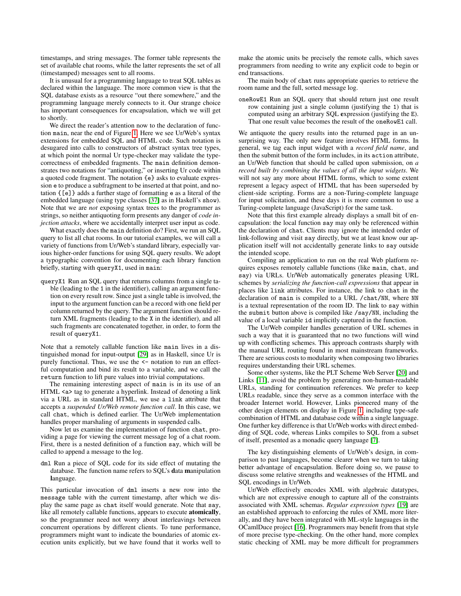timestamps, and string messages. The former table represents the set of available chat rooms, while the latter represents the set of all (timestamped) messages sent to all rooms.

It is unusual for a programming language to treat SQL tables as declared within the language. The more common view is that the SQL database exists as a resource "out there somewhere," and the programming language merely connects to it. Our strange choice has important consequences for encapsulation, which we will get to shortly.

We direct the reader's attention now to the declaration of function main, near the end of Figure [1.](#page-1-0) Here we see Ur/Web's syntax extensions for embedded SQL and HTML code. Such notation is desugared into calls to constructors of abstract syntax tree types, at which point the normal Ur type-checker may validate the typecorrectness of embedded fragments. The main definition demonstrates two notations for "antiquoting," or inserting Ur code within a quoted code fragment. The notation {e} asks to evaluate expression e to produce a subfragment to be inserted at that point, and notation {[e]} adds a further stage of formatting e as a literal of the embedded language (using type classes [\[37\]](#page-12-4) as in Haskell's show). Note that we are *not* exposing syntax trees to the programmer as strings, so neither antiquoting form presents any danger of *code injection attacks*, where we accidentally interpret user input as code.

What exactly does the main definition do? First, we run an SQL query to list all chat rooms. In our tutorial examples, we will call a variety of functions from Ur/Web's standard library, especially various higher-order functions for using SQL query results. We adopt a typographic convention for documenting each library function briefly, starting with queryX1, used in main:

queryX1 Run an SQL query that returns columns from a single table (leading to the 1 in the identifier), calling an argument function on every result row. Since just a single table is involved, the input to the argument function can be a record with one field per column returned by the query. The argument function should return XML fragments (leading to the X in the identifier), and all such fragments are concatenated together, in order, to form the result of queryX1.

Note that a remotely callable function like main lives in a distinguished monad for input-output [\[29\]](#page-12-5) as in Haskell, since Ur is purely functional. Thus, we use the <- notation to run an effectful computation and bind its result to a variable, and we call the return function to lift pure values into trivial computations.

The remaining interesting aspect of main is in its use of an HTML <a> tag to generate a hyperlink. Instead of denoting a link via a URL as in standard HTML, we use a link attribute that accepts a *suspended Ur/Web remote function call*. In this case, we call chat, which is defined earlier. The Ur/Web implementation handles proper marshaling of arguments in suspended calls.

Now let us examine the implementation of function chat, providing a page for viewing the current message log of a chat room. First, there is a nested definition of a function say, which will be called to append a message to the log.

dml Run a piece of SQL code for its side effect of mutating the database. The function name refers to SQL's data manipulation language.

This particular invocation of dml inserts a new row into the message table with the current timestamp, after which we display the same page as chat itself would generate. Note that say, like all remotely callable functions, appears to execute atomically, so the programmer need not worry about interleavings between concurrent operations by different clients. To tune performance, programmers might want to indicate the boundaries of atomic execution units explicitly, but we have found that it works well to make the atomic units be precisely the remote calls, which saves programmers from needing to write any explicit code to begin or end transactions.

The main body of chat runs appropriate queries to retrieve the room name and the full, sorted message log.

oneRowE1 Run an SQL query that should return just one result row containing just a single column (justifying the 1) that is computed using an arbitrary SQL expression (justifying the E). That one result value becomes the result of the oneRowE1 call.

We antiquote the query results into the returned page in an unsurprising way. The only new feature involves HTML forms. In general, we tag each input widget with a *record field name*, and then the submit button of the form includes, in its action attribute, an Ur/Web function that should be called upon submission, on *a record built by combining the values of all the input widgets*. We will not say any more about HTML forms, which to some extent represent a legacy aspect of HTML that has been superseded by client-side scripting. Forms are a non-Turing-complete language for input solicitation, and these days it is more common to use a Turing-complete language (JavaScript) for the same task.

Note that this first example already displays a small bit of encapsulation: the local function say may only be referenced within the declaration of chat. Clients may ignore the intended order of link-following and visit say directly, but we at least know our application itself will not accidentally generate links to say outside the intended scope.

Compiling an application to run on the real Web platform requires exposes remotely callable functions (like main, chat, and say) via URLs. Ur/Web automatically generates pleasing URL schemes by *serializing the function-call expressions* that appear in places like link attributes. For instance, the link to chat in the declaration of main is compiled to a URL /chat/NN, where NN is a textual representation of the room ID. The link to say within the submit button above is compiled like /say/NN, including the value of a local variable id implicitly captured in the function.

The Ur/Web compiler handles generation of URL schemes in such a way that it is guaranteed that no two functions will wind up with conflicting schemes. This approach contrasts sharply with the manual URL routing found in most mainstream frameworks. There are serious costs to modularity when composing two libraries requires understanding their URL schemes.

Some other systems, like the PLT Scheme Web Server [\[20\]](#page-12-6) and Links [\[11\]](#page-12-1), avoid the problem by generating non-human-readable URLs, standing for continuation references. We prefer to keep URLs readable, since they serve as a common interface with the broader Internet world. However, Links pioneered many of the other design elements on display in Figure [1,](#page-1-0) including type-safe combination of HTML and database code within a single language. One further key difference is that Ur/Web works with direct embedding of SQL code, whereas Links compiles to SQL from a subset of itself, presented as a monadic query language [\[7\]](#page-12-0).

The key distinguishing elements of Ur/Web's design, in comparison to past languages, become clearer when we turn to taking better advantage of encapsulation. Before doing so, we pause to discuss some relative strengths and weaknesses of the HTML and SQL encodings in Ur/Web.

Ur/Web effectively encodes XML with algebraic datatypes, which are not expressive enough to capture all of the constraints associated with XML schemas. *Regular expression types* [\[19\]](#page-12-7) are an established approach to enforcing the rules of XML more literally, and they have been integrated with ML-style languages in the OCamlDuce project [\[16\]](#page-12-8). Programmers may benefit from that style of more precise type-checking. On the other hand, more complex static checking of XML may be more difficult for programmers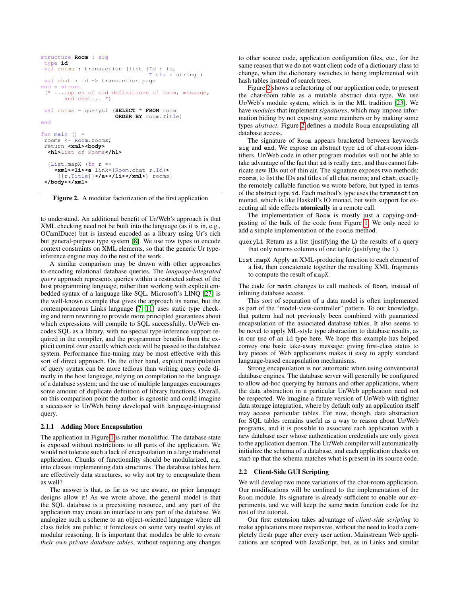```
structure Room : sig
 type id
 val rooms : transaction (list {Id : id,
                                  Title : string})
val chat : id −> transaction page
end = struct
 (* ...copies of old definitions of room, message,
        and chat... *)
 val rooms = queryL1 (SELECT * FROM room
                        ORDER BY room.Title)
end
fun main () = rooms <− Room.rooms;
 return <xml><body>
   <h1>List of Rooms</h1>
   {List.mapX (fn r =>
     <xml><li><a link={Room.chat r.Id}>
      {[r.Title]}</a></li></xml>) rooms}
 </body></xml>
```
<span id="page-3-0"></span>Figure 2. A modular factorization of the first application

to understand. An additional benefit of Ur/Web's approach is that XML checking need not be built into the language (as it is in, e.g., OCamlDuce) but is instead encoded as a library using Ur's rich but general-purpose type system [\[8\]](#page-12-3). We use row types to encode context constraints on XML elements, so that the generic Ur typeinference engine may do the rest of the work.

A similar comparison may be drawn with other approaches to encoding relational database queries. The *language-integrated query* approach represents queries within a restricted subset of the host programming language, rather than working with explicit embedded syntax of a language like SQL. Microsoft's LINQ [\[27\]](#page-12-2) is the well-known example that gives the approach its name, but the contemporaneous Links language [\[7,](#page-12-0) [11\]](#page-12-1) uses static type checking and term rewriting to provide more principled guarantees about which expressions will compile to SQL successfully. Ur/Web encodes SQL as a library, with no special type-inference support required in the compiler, and the programmer benefits from the explicit control over exactly which code will be passed to the database system. Performance fine-tuning may be most effective with this sort of direct approach. On the other hand, explicit manipulation of query syntax can be more tedious than writing query code directly in the host language, relying on compilation to the language of a database system; and the use of multiple languages encourages some amount of duplicate definition of library functions. Overall, on this comparison point the author is agnostic and could imagine a successor to Ur/Web being developed with language-integrated query.

#### 2.1.1 Adding More Encapsulation

The application in Figure [1](#page-1-0) is rather monolithic. The database state is exposed without restrictions to all parts of the application. We would not tolerate such a lack of encapsulation in a large traditional application. Chunks of functionality should be modularized, e.g. into classes implementing data structures. The database tables here are effectively data structures, so why not try to encapsulate them as well?

The answer is that, as far as we are aware, no prior language designs allow it! As we wrote above, the general model is that the SQL database is a preexisting resource, and any part of the application may create an interface to any part of the database. We analogize such a scheme to an object-oriented language where all class fields are public; it forecloses on some very useful styles of modular reasoning. It is important that modules be able to *create their own private database tables*, without requiring any changes to other source code, application configuration files, etc., for the same reason that we do not want client code of a dictionary class to change, when the dictionary switches to being implemented with hash tables instead of search trees.

Figure [2](#page-3-0) shows a refactoring of our application code, to present the chat-room table as a mutable abstract data type. We use Ur/Web's module system, which is in the ML tradition [\[23\]](#page-12-9). We have *modules* that implement *signatures*, which may impose information hiding by not exposing some members or by making some types *abstract*. Figure [2](#page-3-0) defines a module Room encapsulating all database access.

The signature of Room appears bracketed between keywords sig and end. We expose an abstract type id of chat-room identifiers. Ur/Web code in other program modules will not be able to take advantage of the fact that id is really int, and thus cannot fabricate new IDs out of thin air. The signature exposes two methods: rooms, to list the IDs and titles of all chat rooms; and chat, exactly the remotely callable function we wrote before, but typed in terms of the abstract type id. Each method's type uses the transaction monad, which is like Haskell's IO monad, but with support for executing all side effects atomically in a remote call.

The implementation of Room is mostly just a copying-andpasting of the bulk of the code from Figure [1.](#page-1-0) We only need to add a simple implementation of the rooms method.

- queryL1 Return as a list (justifying the L) the results of a query that only returns columns of one table (justifying the 1).
- List.mapX Apply an XML-producing function to each element of a list, then concatenate together the resulting XML fragments to compute the result of mapX.

The code for main changes to call methods of Room, instead of inlining database access.

This sort of separation of a data model is often implemented as part of the "model-view-controller" pattern. To our knowledge, that pattern had not previously been combined with guaranteed encapsulation of the associated database tables. It also seems to be novel to apply ML-style type abstraction to database results, as in our use of an id type here. We hope this example has helped convey one basic take-away message: giving first-class status to key pieces of Web applications makes it easy to apply standard language-based encapsulation mechanisms.

Strong encapsulation is not automatic when using conventional database engines. The database server will generally be configured to allow ad-hoc querying by humans and other applications, where the data abstraction in a particular Ur/Web application need not be respected. We imagine a future version of Ur/Web with tighter data storage integration, where by default only an application itself may access particular tables. For now, though, data abstraction for SQL tables remains useful as a way to reason about Ur/Web programs, and it is possible to associate each application with a new database user whose authentication credentials are only given to the application daemon. The Ur/Web compiler will automatically initialize the schema of a database, and each application checks on start-up that the schema matches what is present in its source code.

#### 2.2 Client-Side GUI Scripting

We will develop two more variations of the chat-room application. Our modifications will be confined to the implementation of the Room module. Its signature is already sufficient to enable our experiments, and we will keep the same main function code for the rest of the tutorial.

Our first extension takes advantage of *client-side scripting* to make applications more responsive, without the need to load a completely fresh page after every user action. Mainstream Web applications are scripted with JavaScript, but, as in Links and similar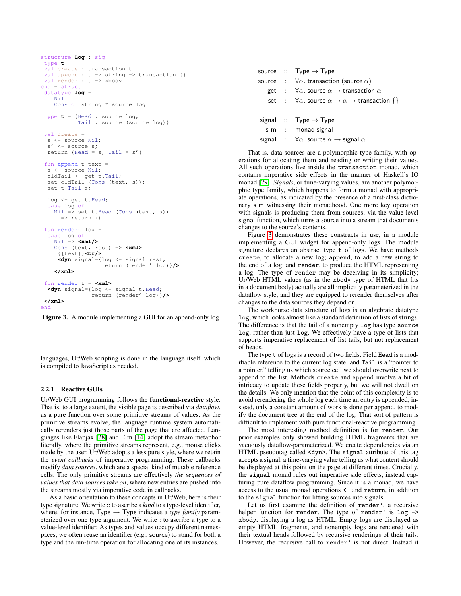```
structure Log : sig
 type t
 val create : transaction t
 val append : t -> string -> transaction {}
 val render : t −> xbody
end = struct
 datatype log =
     Nil
   | Cons of string * source log
 type t = {Head : source log,
             Tail : source (source log)}
 val create =
 s <− source Nil;
 s' <− source s;
  return {Head = s, Tail = s' }
 fun append t text =
   s <− source Nil;
   oldTail <− get t.Tail;
  set oldTail (Cons (text, s));
   set t.Tail s;
   log <− get t.Head;
   case log of
     Nil => set t.Head (Cons (text, s))
  | \equiv > return ()
 fun render' log =
   case log of
     Nil => <xml/>
   | Cons (text, rest) => <xml>
      {[text]}<br/>
 <dyn signal={log <− signal rest;
 return (render' log)}/>
     </xml>
 fun render t = <xml>
   <dyn signal={log <− signal t.Head;
                 return (render' log)}/>
 </xml>
end
```
<span id="page-4-0"></span>Figure 3. A module implementing a GUI for an append-only log

languages, Ur/Web scripting is done in the language itself, which is compiled to JavaScript as needed.

#### <span id="page-4-1"></span>2.2.1 Reactive GUIs

Ur/Web GUI programming follows the functional-reactive style. That is, to a large extent, the visible page is described via *dataflow*, as a pure function over some primitive streams of values. As the primitive streams evolve, the language runtime system automatically rerenders just those parts of the page that are affected. Languages like Flapjax [\[28\]](#page-12-10) and Elm [\[14\]](#page-12-11) adopt the stream metaphor literally, where the primitive streams represent, e.g., mouse clicks made by the user. Ur/Web adopts a less pure style, where we retain the *event callbacks* of imperative programming. These callbacks modify *data sources*, which are a special kind of mutable reference cells. The only primitive streams are effectively *the sequences of values that data sources take on*, where new entries are pushed into the streams mostly via imperative code in callbacks.

As a basic orientation to these concepts in Ur/Web, here is their type signature. We write :: to ascribe a *kind* to a type-level identifier, where, for instance,  $Type \rightarrow Type$  indicates a *type family* parameterized over one type argument. We write : to ascribe a type to a value-level identifier. As types and values occupy different namespaces, we often reuse an identifier (e.g., source) to stand for both a type and the run-time operation for allocating one of its instances.

|     | source :: Type $\rightarrow$ Type                                               |
|-----|---------------------------------------------------------------------------------|
|     | source : $\forall \alpha$ . transaction (source $\alpha$ )                      |
| get | $\cdot \quad \forall \alpha$ . source $\alpha \rightarrow$ transaction $\alpha$ |
|     | set : $\forall \alpha$ . source $\alpha \to \alpha \to \alpha$ transaction { }  |
|     |                                                                                 |
|     | signal :: Type $\rightarrow$ Type                                               |
|     | s_m : monad signal                                                              |
|     | signal : $\forall \alpha$ source $\alpha \rightarrow$ signal $\alpha$           |

That is, data sources are a polymorphic type family, with operations for allocating them and reading or writing their values. All such operations live inside the transaction monad, which contains imperative side effects in the manner of Haskell's IO monad [\[29\]](#page-12-5). *Signals*, or time-varying values, are another polymorphic type family, which happens to form a monad with appropriate operations, as indicated by the presence of a first-class dictionary s\_m witnessing their monadhood. One more key operation with signals is producing them from sources, via the value-level signal function, which turns a source into a stream that documents changes to the source's contents.

Figure [3](#page-4-0) demonstrates these constructs in use, in a module implementing a GUI widget for append-only logs. The module signature declares an abstract type t of logs. We have methods create, to allocate a new log; append, to add a new string to the end of a log; and render, to produce the HTML representing a log. The type of render may be deceiving in its simplicity; Ur/Web HTML values (as in the xbody type of HTML that fits in a document body) actually are all implicitly parameterized in the dataflow style, and they are equipped to rerender themselves after changes to the data sources they depend on.

The workhorse data structure of logs is an algebraic datatype log, which looks almost like a standard definition of lists of strings. The difference is that the tail of a nonempty log has type source log, rather than just log. We effectively have a type of lists that supports imperative replacement of list tails, but not replacement of heads.

The type t of logs is a record of two fields. Field Head is a modifiable reference to the current log state, and Tail is a "pointer to a pointer," telling us which source cell we should overwrite next to append to the list. Methods create and append involve a bit of intricacy to update these fields properly, but we will not dwell on the details. We only mention that the point of this complexity is to avoid rerendering the whole log each time an entry is appended; instead, only a constant amount of work is done per append, to modify the document tree at the end of the log. That sort of pattern is difficult to implement with pure functional-reactive programming.

The most interesting method definition is for render. Our prior examples only showed building HTML fragments that are vacuously dataflow-parameterized. We create dependencies via an HTML pseudotag called <dyn>. The signal attribute of this tag accepts a signal, a time-varying value telling us what content should be displayed at this point on the page at different times. Crucially, the signal monad rules out imperative side effects, instead capturing pure dataflow programming. Since it is a monad, we have access to the usual monad operations <- and return, in addition to the signal function for lifting sources into signals.

Let us first examine the definition of render', a recursive helper function for render. The type of render' is log -> xbody, displaying a log as HTML. Empty logs are displayed as empty HTML fragments, and nonempty logs are rendered with their textual heads followed by recursive renderings of their tails. However, the recursive call to render' is not direct. Instead it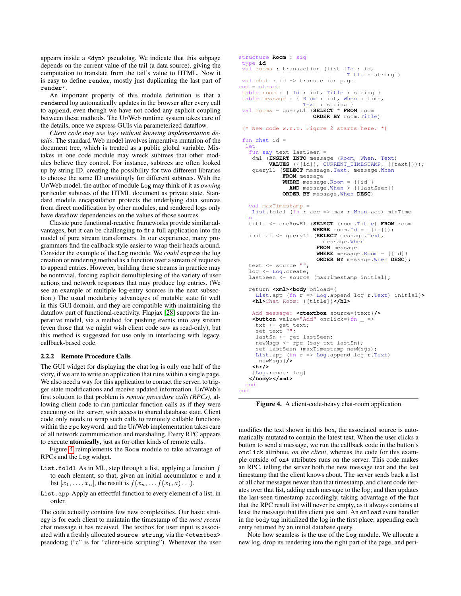appears inside a <dyn> pseudotag. We indicate that this subpage depends on the current value of the tail (a data source), giving the computation to translate from the tail's value to HTML. Now it is easy to define render, mostly just duplicating the last part of render'.

An important property of this module definition is that a rendered log automatically updates in the browser after every call to append, even though we have not coded any explicit coupling between these methods. The Ur/Web runtime system takes care of the details, once we express GUIs via parameterized dataflow.

*Client code may use logs without knowing implementation details*. The standard Web model involves imperative mutation of the document tree, which is treated as a public global variable. Mistakes in one code module may wreck subtrees that other modules believe they control. For instance, subtrees are often looked up by string ID, creating the possibility for two different libraries to choose the same ID unwittingly for different subtrees. With the Ur/Web model, the author of module Log may think of it as *owning* particular subtrees of the HTML document as private state. Standard module encapsulation protects the underlying data sources from direct modification by other modules, and rendered logs only have dataflow dependencies on the values of those sources.

Classic pure functional-reactive frameworks provide similar advantages, but it can be challenging to fit a full application into the model of pure stream transformers. In our experience, many programmers find the callback style easier to wrap their heads around. Consider the example of the Log module. We *could* express the log creation or rendering method as a function over a stream of requests to append entries. However, building these streams in practice may be nontrivial, forcing explicit demultiplexing of the variety of user actions and network responses that may produce log entries. (We see an example of multiple log-entry sources in the next subsection.) The usual modularity advantages of mutable state fit well in this GUI domain, and they are compatible with maintaining the dataflow part of functional-reactivity. Flapjax [\[28\]](#page-12-10) supports the imperative model, via a method for pushing events into *any* stream (even those that we might wish client code saw as read-only), but this method is suggested for use only in interfacing with legacy, callback-based code.

## 2.2.2 Remote Procedure Calls

The GUI widget for displaying the chat log is only one half of the story, if we are to write an application that runs within a single page. We also need a way for this application to contact the server, to trigger state modifications and receive updated information. Ur/Web's first solution to that problem is *remote procedure calls (RPCs)*, allowing client code to run particular function calls as if they were executing on the server, with access to shared database state. Client code only needs to wrap such calls to remotely callable functions within the rpc keyword, and the Ur/Web implementation takes care of all network communication and marshaling. Every RPC appears to execute atomically, just as for other kinds of remote calls.

Figure [4](#page-5-0) reimplements the Room module to take advantage of RPCs and the Log widget.

- List.foldl As in ML, step through a list, applying a function  $f$ to each element, so that, given an initial accumulator  $a$  and a list  $[x_1, \ldots, x_n]$ , the result is  $f(x_n, \ldots, f(x_1, a) \ldots)$ .
- List.app Apply an effectful function to every element of a list, in order.

The code actually contains few new complexities. Our basic strategy is for each client to maintain the timestamp of the *most recent* chat message it has received. The textbox for user input is associated with a freshly allocated source string, via the <ctextbox> pseudotag ("c" is for "client-side scripting"). Whenever the user

```
structure Room : sig
 type id
 val rooms : transaction (list {Id : id,
                                   Title : string})
 val chat : id −> transaction page
end = struct
 table room : { Id : int, Title : string }
table message : { Room : int, When : time,
                     Text : string }
 val rooms = queryL1 (SELECT * FROM room
                        ORDER BY room.Title)
 (* New code w.r.t. Figure 2 starts here. *)
 fun chat id =
   let
    fun say text lastSeen =
     dml (INSERT INTO message (Room, When, Text)
          VALUES ({[id]}, CURRENT_TIMESTAMP, {[text]}));
     queryL1 (SELECT message.Text, message.When
              FROM message
              WHERE message.Room = {[id]}
               AND message.When > {[lastSeen]}
              ORDER BY message.When DESC)
    val maxTimestamp =
     List.foldl (fn r acc => max r.When acc) minTime
   in
    title <− oneRowE1 (SELECT (room.Title) FROM room
                        WHERE room.Id = {[id]});
    initial <− queryL1 (SELECT message.Text,
                           message.When
                         FROM message
                        WHERE message.Room = {[id]}
                        ORDER BY message.When DESC);
    text <− source "";
    log <− Log.create;
    lastSeen <− source (maxTimestamp initial);
   return <xml><br/>body onload={
      List.app (fn r => Log.append log r.Text) initial}>
     <h1>Chat Room: {[title]}</h1>
     Add message: <ctextbox source={text}/>

      txt <− get text;
      set text "";
      lastSn <− get lastSeen;
      newMsgs <− rpc (say txt lastSn);
     set lastSeen (maxTimestamp newMsgs);
      List.app (fn r => Log.append log r.Text)
       newMsgs}/>
     <hr/>
     {Log.render log}
    </body></xml>
   end
end
```
<span id="page-5-0"></span>Figure 4. A client-code-heavy chat-room application

modifies the text shown in this box, the associated source is automatically mutated to contain the latest text. When the user clicks a button to send a message, we run the callback code in the button's onclick attribute, *on the client*, whereas the code for this example outside of on\* attributes runs on the server. This code makes an RPC, telling the server both the new message text and the last timestamp that the client knows about. The server sends back a list of all chat messages newer than that timestamp, and client code iterates over that list, adding each message to the log; and then updates the last-seen timestamp accordingly, taking advantage of the fact that the RPC result list will never be empty, as it always contains at least the message that this client just sent. An onload event handler in the body tag initialized the log in the first place, appending each entry returned by an initial database query.

Note how seamless is the use of the Log module. We allocate a new log, drop its rendering into the right part of the page, and peri-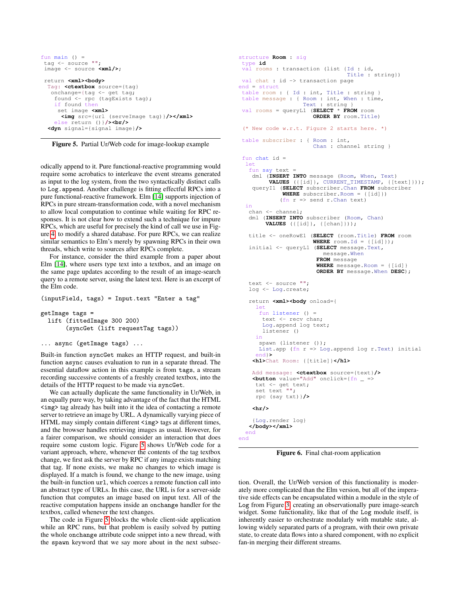```
fun main () = tag <− source "";
  image <− source <xml/>;
 return <xml><body>
   Tag: <ctextbox source={tag}
    onchange={tag <− get tag;
    found <- rpc (tagExists tag);
     if found then
      set image <xml>
       <img src={url (serveImage tag)}/></xml>
     else return ()}/><br/>
   <dyn signal={signal image}/>
```
<span id="page-6-0"></span>

odically append to it. Pure functional-reactive programming would require some acrobatics to interleave the event streams generated as input to the log system, from the two syntactically distinct calls to Log.append. Another challenge is fitting effectful RPCs into a pure functional-reactive framework. Elm [\[14\]](#page-12-11) supports injection of RPCs in pure stream-transformation code, with a novel mechanism to allow local computation to continue while waiting for RPC responses. It is not clear how to extend such a technique for impure RPCs, which are useful for precisely the kind of call we use in Figure [4,](#page-5-0) to modify a shared database. For pure RPCs, we can realize similar semantics to Elm's merely by spawning RPCs in their own threads, which write to sources after RPCs complete.

For instance, consider the third example from a paper about Elm [\[14\]](#page-12-11), where users type text into a textbox, and an image on the same page updates according to the result of an image-search query to a remote server, using the latest text. Here is an excerpt of the Elm code.

```
(inputField, tags) = Input.text "Enter a tag"
getImage tags =
 lift (fittedImage 300 200)
       (syncGet (lift requestTag tags))
```

```
... async (getImage tags) ...
```
Built-in function syncGet makes an HTTP request, and built-in function async causes evaluation to run in a separate thread. The essential dataflow action in this example is from tags, a stream recording successive contents of a freshly created textbox, into the details of the HTTP request to be made via syncGet.

We can actually duplicate the same functionality in Ur/Web, in an equally pure way, by taking advantage of the fact that the HTML <img> tag already has built into it the idea of contacting a remote server to retrieve an image by URL. A dynamically varying piece of HTML may simply contain different  $\langle \text{img} \rangle$  tags at different times, and the browser handles retrieving images as usual. However, for a fairer comparison, we should consider an interaction that does require some custom logic. Figure [5](#page-6-0) shows Ur/Web code for a variant approach, where, whenever the contents of the tag textbox change, we first ask the server by RPC if any image exists matching that tag. If none exists, we make no changes to which image is displayed. If a match is found, we change to the new image, using the built-in function url, which coerces a remote function call into an abstract type of URLs. In this case, the URL is for a server-side function that computes an image based on input text. All of the reactive computation happens inside an onchange handler for the textbox, called whenever the text changes.

The code in Figure [5](#page-6-0) blocks the whole client-side application while an RPC runs, but that problem is easily solved by putting the whole onchange attribute code snippet into a new thread, with the spawn keyword that we say more about in the next subsec-

```
structure Room : sig
 type id
 val rooms : transaction (list {Id : id,
                                    Title : string})
val chat : id −> transaction page
end = struct
 table room : { Id : int, Title : string }
table message : { Room : int, When : time,
                      Text : string }
 val rooms = queryL1 (SELECT * FROM room
                         ORDER BY room.Title)
 (* New code w.r.t. Figure 2 starts here. *)
 table subscriber : { Room : int,
                         Chan : channel string }
 fun chat id =
   let
    fun say text =
     dml (INSERT INTO message (Room, When, Text)
           VALUES ({[id]}, CURRENT_TIMESTAMP, {[text]}));
     queryI1 (SELECT subscriber.Chan FROM subscriber
               WHERE subscriber.Room = {[id]})
             (fn r \Rightarrow send r.Chan text)
   in
   chan <- channel;
    dml (INSERT INTO subscriber (Room, Chan)
          VALUES ({[id]}, {[chan]}));
    title <− oneRowE1 (SELECT (room.Title) FROM room
                        WHERE room. Id = \{ [id] \};
    initial <− queryL1 (SELECT message.Text,
                            message.When
                          FROM message
                         WHERE message.Room = {[id]}
                         ORDER BY message.When DESC);
    text <− source "";
    log <− Log.create;
   return <xml><br/>body onload={
      let
       fun listener () =
         text <− recv chan;
         Log.append log text;
         listener ()
      in
       spawn (listener ());
      List.app (fn r \Rightarrow Log.append log r.\text{Text}) initial
      end}>
     <h1>Chat Room: {[title]}</h1>
     Add message: <ctextbox source={text}/>
    \text{Sub} value="Add" onclick={fn _ =>
      txt <− get text;
      set text "";
      rpc (say txt)}/>
     <hr/>
      {Log.render log}
    </body></xml>
   end
```

```
end
```
<span id="page-6-1"></span>Figure 6. Final chat-room application

tion. Overall, the Ur/Web version of this functionality is moderately more complicated than the Elm version, but all of the imperative side effects can be encapsulated within a module in the style of Log from Figure [3,](#page-4-0) creating an observationally pure image-search widget. Some functionality, like that of the Log module itself, is inherently easier to orchestrate modularly with mutable state, allowing widely separated parts of a program, with their own private state, to create data flows into a shared component, with no explicit fan-in merging their different streams.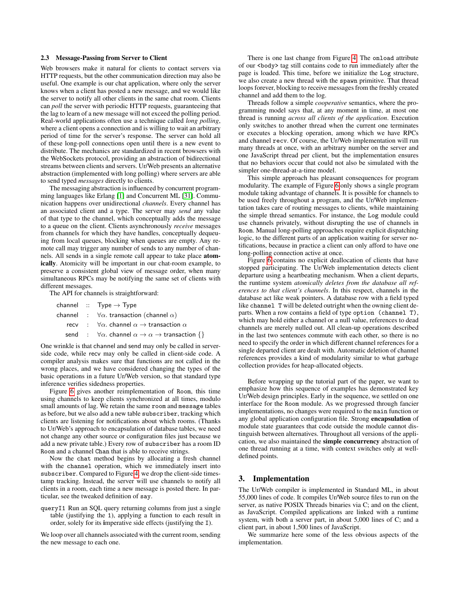#### 2.3 Message-Passing from Server to Client

Web browsers make it natural for clients to contact servers via HTTP requests, but the other communication direction may also be useful. One example is our chat application, where only the server knows when a client has posted a new message, and we would like the server to notify all other clients in the same chat room. Clients can *poll* the server with periodic HTTP requests, guaranteeing that the lag to learn of a new message will not exceed the polling period. Real-world applications often use a technique called *long polling*, where a client opens a connection and is willing to wait an arbitrary period of time for the server's response. The server can hold all of these long-poll connections open until there is a new event to distribute. The mechanics are standardized in recent browsers with the WebSockets protocol, providing an abstraction of bidirectional streams between clients and servers. Ur/Web presents an alternative abstraction (implemented with long polling) where servers are able to send typed *messages* directly to clients.

The messaging abstraction is influenced by concurrent programming languages like Erlang [\[1\]](#page-12-12) and Concurrent ML [\[31\]](#page-12-13). Communication happens over unidirectional *channels*. Every channel has an associated client and a type. The server may *send* any value of that type to the channel, which conceptually adds the message to a queue on the client. Clients asynchronously *receive* messages from channels for which they have handles, conceptually dequeuing from local queues, blocking when queues are empty. Any remote call may trigger any number of sends to any number of channels. All sends in a single remote call appear to take place atomically. Atomicity will be important in our chat-room example, to preserve a consistent global view of message order, when many simultaneous RPCs may be notifying the same set of clients with different messages.

The API for channels is straightforward:

|  | channel :: Type $\rightarrow$ Type                                                       |
|--|------------------------------------------------------------------------------------------|
|  | channel : $\forall \alpha$ transaction (channel $\alpha$ )                               |
|  | recv : $\forall \alpha$ channel $\alpha \rightarrow$ transaction $\alpha$                |
|  | send : $\forall \alpha$ . channel $\alpha \rightarrow \alpha \rightarrow$ transaction {} |

One wrinkle is that channel and send may only be called in serverside code, while recv may only be called in client-side code. A compiler analysis makes sure that functions are not called in the wrong places, and we have considered changing the types of the basic operations in a future Ur/Web version, so that standard type inference verifies sidedness properties.

Figure [6](#page-6-1) gives another reimplementation of Room, this time using channels to keep clients synchronized at all times, modulo small amounts of lag. We retain the same room and message tables as before, but we also add a new table subscriber, tracking which clients are listening for notifications about which rooms. (Thanks to Ur/Web's approach to encapsulation of database tables, we need not change any other source or configuration files just because we add a new private table.) Every row of subscriber has a room ID Room and a channel Chan that is able to receive strings.

Now the chat method begins by allocating a fresh channel with the channel operation, which we immediately insert into subscriber. Compared to Figure [4,](#page-5-0) we drop the client-side timestamp tracking. Instead, the server will use channels to notify all clients in a room, each time a new message is posted there. In particular, see the tweaked definition of say.

queryI1 Run an SQL query returning columns from just a single table (justifying the 1), applying a function to each result in order, solely for its imperative side effects (justifying the I).

We loop over all channels associated with the current room, sending the new message to each one.

There is one last change from Figure [4.](#page-5-0) The onload attribute of our <body> tag still contains code to run immediately after the page is loaded. This time, before we initialize the Log structure, we also create a new thread with the spawn primitive. That thread loops forever, blocking to receive messages from the freshly created channel and add them to the log.

Threads follow a simple *cooperative* semantics, where the programming model says that, at any moment in time, at most one thread is running *across all clients of the application*. Execution only switches to another thread when the current one terminates or executes a blocking operation, among which we have RPCs and channel recv. Of course, the Ur/Web implementation will run many threads at once, with an arbitrary number on the server and one JavaScript thread per client, but the implementation ensures that no behaviors occur that could not also be simulated with the simpler one-thread-at-a-time model.

This simple approach has pleasant consequences for program modularity. The example of Figure [6](#page-6-1) only shows a single program module taking advantage of channels. It is possible for channels to be used freely throughout a program, and the Ur/Web implementation takes care of routing messages to clients, while maintaining the simple thread semantics. For instance, the Log module could use channels privately, without disrupting the use of channels in Room. Manual long-polling approaches require explicit dispatching logic, to the different parts of an application waiting for server notifications, because in practice a client can only afford to have one long-polling connection active at once.

Figure [6](#page-6-1) contains no explicit deallocation of clients that have stopped participating. The Ur/Web implementation detects client departure using a heartbeating mechanism. When a client departs, the runtime system *atomically deletes from the database all references to that client's channels*. In this respect, channels in the database act like weak pointers. A database row with a field typed like channel T will be deleted outright when the owning client departs. When a row contains a field of type option (channel T), which may hold either a channel or a null value, references to dead channels are merely nulled out. All clean-up operations described in the last two sentences commute with each other, so there is no need to specify the order in which different channel references for a single departed client are dealt with. Automatic deletion of channel references provides a kind of modularity similar to what garbage collection provides for heap-allocated objects.

Before wrapping up the tutorial part of the paper, we want to emphasize how this sequence of examples has demonstrated key Ur/Web design principles. Early in the sequence, we settled on one interface for the Room module. As we progressed through fancier implementations, no changes were required to the main function or any global application configuration file. Strong encapsulation of module state guarantees that code outside the module cannot distinguish between alternatives. Throughout all versions of the application, we also maintained the simple concurrency abstraction of one thread running at a time, with context switches only at welldefined points.

## 3. Implementation

The Ur/Web compiler is implemented in Standard ML, in about 55,000 lines of code. It compiles Ur/Web source files to run on the server, as native POSIX Threads binaries via C; and on the client, as JavaScript. Compiled applications are linked with a runtime system, with both a server part, in about 5,000 lines of C; and a client part, in about 1,500 lines of JavaScript.

We summarize here some of the less obvious aspects of the implementation.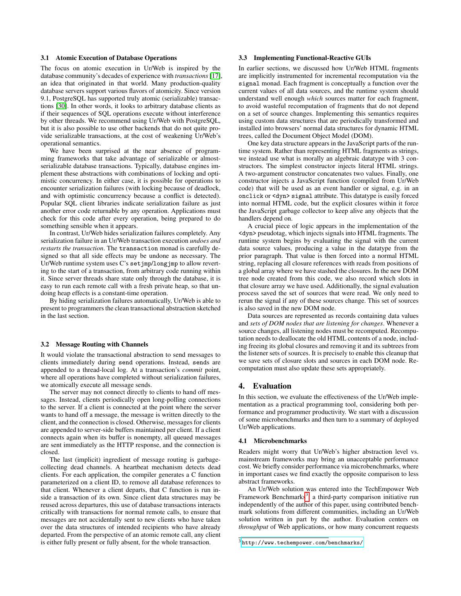## 3.1 Atomic Execution of Database Operations

The focus on atomic execution in Ur/Web is inspired by the database community's decades of experience with *transactions*[\[17\]](#page-12-14), an idea that originated in that world. Many production-quality database servers support various flavors of atomicity. Since version 9.1, PostgreSQL has supported truly atomic (serializable) transactions [\[30\]](#page-12-15). In other words, it looks to arbitrary database clients as if their sequences of SQL operations execute without interference by other threads. We recommend using Ur/Web with PostgreSQL, but it is also possible to use other backends that do not quite provide serializable transactions, at the cost of weakening Ur/Web's operational semantics.

We have been surprised at the near absence of programming frameworks that take advantage of serializable or almostserializable database transactions. Typically, database engines implement these abstractions with combinations of locking and optimistic concurrency. In either case, it is possible for operations to encounter serialization failures (with locking because of deadlock, and with optimistic concurrency because a conflict is detected). Popular SQL client libraries indicate serialization failure as just another error code returnable by any operation. Applications must check for this code after every operation, being prepared to do something sensible when it appears.

In contrast, Ur/Web hides serialization failures completely. Any serialization failure in an Ur/Web transaction execution *undoes and restarts the transaction*. The transaction monad is carefully designed so that all side effects may be undone as necessary. The Ur/Web runtime system uses C's setjmp/longjmp to allow reverting to the start of a transaction, from arbitrary code running within it. Since server threads share state only through the database, it is easy to run each remote call with a fresh private heap, so that undoing heap effects is a constant-time operation.

By hiding serialization failures automatically, Ur/Web is able to present to programmers the clean transactional abstraction sketched in the last section.

#### 3.2 Message Routing with Channels

It would violate the transactional abstraction to send messages to clients immediately during send operations. Instead, sends are appended to a thread-local log. At a transaction's *commit* point, where all operations have completed without serialization failures, we atomically execute all message sends.

The server may not connect directly to clients to hand off messages. Instead, clients periodically open long-polling connections to the server. If a client is connected at the point where the server wants to hand off a message, the message is written directly to the client, and the connection is closed. Otherwise, messages for clients are appended to server-side buffers maintained per client. If a client connects again when its buffer is nonempty, all queued messages are sent immediately as the HTTP response, and the connection is closed.

The last (implicit) ingredient of message routing is garbagecollecting dead channels. A heartbeat mechanism detects dead clients. For each application, the compiler generates a C function parameterized on a client ID, to remove all database references to that client. Whenever a client departs, that C function is run inside a transaction of its own. Since client data structures may be reused across departures, this use of database transactions interacts critically with transactions for normal remote calls, to ensure that messages are not accidentally sent to new clients who have taken over the data structures of intended recipients who have already departed. From the perspective of an atomic remote call, any client is either fully present or fully absent, for the whole transaction.

#### 3.3 Implementing Functional-Reactive GUIs

In earlier sections, we discussed how Ur/Web HTML fragments are implicitly instrumented for incremental recomputation via the signal monad. Each fragment is conceptually a function over the current values of all data sources, and the runtime system should understand well enough *which* sources matter for each fragment, to avoid wasteful recomputation of fragments that do not depend on a set of source changes. Implementing this semantics requires using custom data structures that are periodically transformed and installed into browsers' normal data structures for dynamic HTML trees, called the Document Object Model (DOM).

One key data structure appears in the JavaScript parts of the runtime system. Rather than representing HTML fragments as strings, we instead use what is morally an algebraic datatype with 3 constructors. The simplest constructor injects literal HTML strings. A two-argument constructor concatenates two values. Finally, one constructor injects a JavaScript function (compiled from Ur/Web code) that will be used as an event handler or signal, e.g. in an onclick or <dyn> signal attribute. This datatype is easily forced into normal HTML code, but the explicit closures within it force the JavaScript garbage collector to keep alive any objects that the handlers depend on.

A crucial piece of logic appears in the implementation of the <dyn> pseudotag, which injects signals into HTML fragments. The runtime system begins by evaluating the signal with the current data source values, producing a value in the datatype from the prior paragraph. That value is then forced into a normal HTML string, replacing all closure references with reads from positions of a global array where we have stashed the closures. In the new DOM tree node created from this code, we also record which slots in that closure array we have used. Additionally, the signal evaluation process saved the set of sources that were read. We only need to rerun the signal if any of these sources change. This set of sources is also saved in the new DOM node.

Data sources are represented as records containing data values and *sets of DOM nodes that are listening for changes*. Whenever a source changes, all listening nodes must be recomputed. Recomputation needs to deallocate the old HTML contents of a node, including freeing its global closures and removing it and its subtrees from the listener sets of sources. It is precisely to enable this cleanup that we save sets of closure slots and sources in each DOM node. Recomputation must also update these sets appropriately.

# 4. Evaluation

In this section, we evaluate the effectiveness of the Ur/Web implementation as a practical programming tool, considering both performance and programmer productivity. We start with a discussion of some microbenchmarks and then turn to a summary of deployed Ur/Web applications.

#### 4.1 Microbenchmarks

Readers might worry that Ur/Web's higher abstraction level vs. mainstream frameworks may bring an unacceptable performance cost. We briefly consider performance via microbenchmarks, where in important cases we find exactly the opposite comparison to less abstract frameworks.

An Ur/Web solution was entered into the TechEmpower Web Framework Benchmarks<sup>[3](#page-8-0)</sup>, a third-party comparison initiative run independently of the author of this paper, using contributed benchmark solutions from different communities, including an Ur/Web solution written in part by the author. Evaluation centers on *throughput* of Web applications, or how many concurrent requests

<span id="page-8-0"></span><sup>3</sup> <http://www.techempower.com/benchmarks/>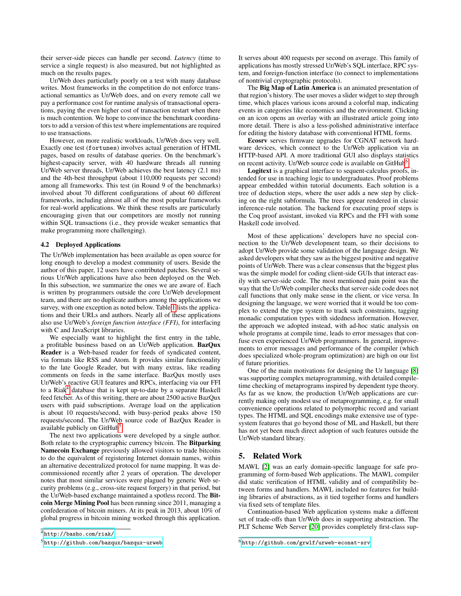their server-side pieces can handle per second. *Latency* (time to service a single request) is also measured, but not highlighted as much on the results pages.

Ur/Web does particularly poorly on a test with many database writes. Most frameworks in the competition do not enforce transactional semantics as Ur/Web does, and on every remote call we pay a performance cost for runtime analysis of transactional operations, paying the even higher cost of transaction restart when there is much contention. We hope to convince the benchmark coordinators to add a version of this test where implementations are required to use transactions.

However, on more realistic workloads, Ur/Web does very well. Exactly one test (fortunes) involves actual generation of HTML pages, based on results of database queries. On the benchmark's highest-capacity server, with 40 hardware threads all running Ur/Web server threads, Ur/Web achieves the best latency (2.1 ms) and the 4th-best throughput (about 110,000 requests per second) among all frameworks. This test (in Round 9 of the benchmarks) involved about 70 different configurations of about 60 different frameworks, including almost all of the most popular frameworks for real-world applications. We think these results are particularly encouraging given that our competitors are mostly not running within SQL transactions (i.e., they provide weaker semantics that make programming more challenging).

# 4.2 Deployed Applications

The Ur/Web implementation has been available as open source for long enough to develop a modest community of users. Beside the author of this paper, 12 users have contributed patches. Several serious Ur/Web applications have also been deployed on the Web. In this subsection, we summarize the ones we are aware of. Each is written by programmers outside the core Ur/Web development team, and there are no duplicate authors among the applications we survey, with one exception as noted below. Table [1](#page-10-0) lists the applications and their URLs and authors. Nearly all of these applications also use Ur/Web's *foreign function interface (FFI)*, for interfacing with C and JavaScript libraries.

We especially want to highlight the first entry in the table, a profitable business based on an Ur/Web application. BazQux Reader is a Web-based reader for feeds of syndicated content, via formats like RSS and Atom. It provides similar functionality to the late Google Reader, but with many extras, like reading comments on feeds in the same interface. BazQux mostly uses Ur/Web's reactive GUI features and RPCs, interfacing via our FFI to a Riak<sup>[4](#page-9-0)</sup> database that is kept up-to-date by a separate Haskell feed fetcher. As of this writing, there are about 2500 active BazQux users with paid subscriptions. Average load on the application is about 10 requests/second, with busy-period peaks above 150 requests/second. The Ur/Web source code of BazQux Reader is available publicly on GitHub<sup>[5](#page-9-1)</sup>.

The next two applications were developed by a single author. Both relate to the cryptographic currency bitcoin. The Bitparking Namecoin Exchange previously allowed visitors to trade bitcoins to do the equivalent of registering Internet domain names, within an alternative decentralized protocol for name mapping. It was decommissioned recently after 2 years of operation. The developer notes that most similar services were plagued by generic Web security problems (e.g., cross-site request forgery) in that period, but the Ur/Web-based exchange maintained a spotless record. The Bitcoin Merge Mining Pool has been running since 2011, managing a confederation of bitcoin miners. At its peak in 2013, about 10% of global progress in bitcoin mining worked through this application.

<span id="page-9-0"></span><sup>4</sup> <http://basho.com/riak/>

<span id="page-9-1"></span><sup>5</sup> <http://github.com/bazqux/bazqux-urweb>

It serves about 400 requests per second on average. This family of applications has mostly stressed Ur/Web's SQL interface, RPC system, and foreign-function interface (to connect to implementations of nontrivial cryptographic protocols).

The Big Map of Latin America is an animated presentation of that region's history. The user moves a slider widget to step through time, which places various icons around a colorful map, indicating events in categories like economics and the environment. Clicking on an icon opens an overlay with an illustrated article going into more detail. There is also a less-polished administrative interface for editing the history database with conventional HTML forms.

Ecosrv serves firmware upgrades for CGNAT network hardware devices, which connect to the Ur/Web application via an HTTP-based API. A more traditional GUI also displays statistics on recent activity. Ur/Web source code is available on GitHub<sup>[6](#page-9-2)</sup>.

Logitext is a graphical interface to sequent-calculus proofs, intended for use in teaching logic to undergraduates. Proof problems appear embedded within tutorial documents. Each solution is a tree of deduction steps, where the user adds a new step by clicking on the right subformula. The trees appear rendered in classic inference-rule notation. The backend for executing proof steps is the Coq proof assistant, invoked via RPCs and the FFI with some Haskell code involved.

Most of these applications' developers have no special connection to the Ur/Web development team, so their decisions to adopt Ur/Web provide some validation of the language design. We asked developers what they saw as the biggest positive and negative points of Ur/Web. There was a clear consensus that the biggest plus was the simple model for coding client-side GUIs that interact easily with server-side code. The most mentioned pain point was the way that the Ur/Web compiler checks that server-side code does not call functions that only make sense in the client, or vice versa. In designing the language, we were worried that it would be too complex to extend the type system to track such constraints, tagging monadic computation types with sidedness information. However, the approach we adopted instead, with ad-hoc static analysis on whole programs at compile time, leads to error messages that confuse even experienced Ur/Web programmers. In general, improvements to error messages and performance of the compiler (which does specialized whole-program optimization) are high on our list of future priorities.

One of the main motivations for designing the Ur language [\[8\]](#page-12-3) was supporting complex metaprogramming, with detailed compiletime checking of metaprograms inspired by dependent type theory. As far as we know, the production Ur/Web applications are currently making only modest use of metaprogramming, e.g. for small convenience operations related to polymorphic record and variant types. The HTML and SQL encodings make extensive use of typesystem features that go beyond those of ML and Haskell, but there has not yet been much direct adoption of such features outside the Ur/Web standard library.

## 5. Related Work

MAWL [\[2\]](#page-12-16) was an early domain-specific language for safe programming of form-based Web applications. The MAWL compiler did static verification of HTML validity and of compatibility between forms and handlers. MAWL included no features for building libraries of abstractions, as it tied together forms and handlers via fixed sets of template files.

Continuation-based Web application systems make a different set of trade-offs than Ur/Web does in supporting abstraction. The PLT Scheme Web Server [\[20\]](#page-12-6) provides completely first-class sup-

<span id="page-9-2"></span><sup>6</sup> <http://github.com/grwlf/urweb-econat-srv>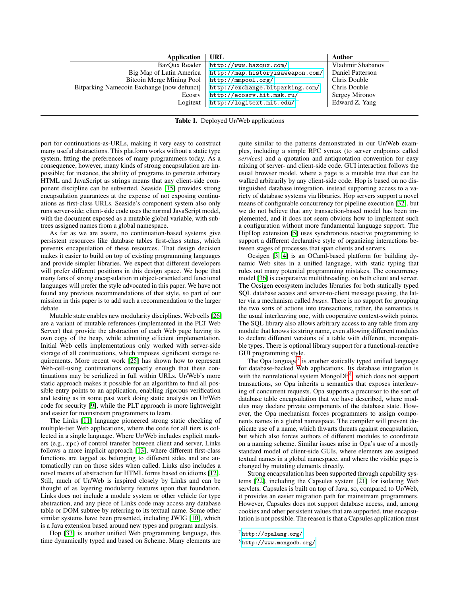| URL                                                          | Author            |
|--------------------------------------------------------------|-------------------|
| http://www.bazqux.com/                                       | Vladimir Shabanov |
| http://map.historyisaweapon.com/<br>Big Map of Latin America | Daniel Patterson  |
| Bitcoin Merge Mining Pool<br>http://mmpool.org/              | Chris Double      |
| http://exchange.bitparking.com/                              | Chris Double      |
| http://ecosrv.hit.msk.ru/                                    | Sergey Mironov    |
| http://logitext.mit.edu/                                     | Edward Z. Yang    |
|                                                              |                   |

<span id="page-10-0"></span>Table 1. Deployed Ur/Web applications

port for continuations-as-URLs, making it very easy to construct many useful abstractions. This platform works without a static type system, fitting the preferences of many programmers today. As a consequence, however, many kinds of strong encapsulation are impossible; for instance, the ability of programs to generate arbitrary HTML and JavaScript as strings means that any client-side component discipline can be subverted. Seaside [\[15\]](#page-12-17) provides strong encapsulation guarantees at the expense of not exposing continuations as first-class URLs. Seaside's component system also only runs server-side; client-side code uses the normal JavaScript model, with the document exposed as a mutable global variable, with subtrees assigned names from a global namespace.

As far as we are aware, no continuation-based systems give persistent resources like database tables first-class status, which prevents encapsulation of these resources. That design decision makes it easier to build on top of existing programming languages and provide simpler libraries. We expect that different developers will prefer different positions in this design space. We hope that many fans of strong encapsulation in object-oriented and functional languages will prefer the style advocated in this paper. We have not found any previous recommendations of that style, so part of our mission in this paper is to add such a recommendation to the larger debate.

Mutable state enables new modularity disciplines. Web cells [\[26\]](#page-12-18) are a variant of mutable references (implemented in the PLT Web Server) that provide the abstraction of each Web page having its own copy of the heap, while admitting efficient implementation. Initial Web cells implementations only worked with server-side storage of all continuations, which imposes significant storage requirements. More recent work [\[25\]](#page-12-19) has shown how to represent Web-cell-using continuations compactly enough that these continuations may be serialized in full within URLs. Ur/Web's more static approach makes it possible for an algorithm to find all possible entry points to an application, enabling rigorous verification and testing as in some past work doing static analysis on Ur/Web code for security [\[9\]](#page-12-20), while the PLT approach is more lightweight and easier for mainstream programmers to learn.

The Links [\[11\]](#page-12-1) language pioneered strong static checking of multiple-tier Web applications, where the code for all tiers is collected in a single language. Where Ur/Web includes explicit markers (e.g., rpc) of control transfer between client and server, Links follows a more implicit approach [\[13\]](#page-12-21), where different first-class functions are tagged as belonging to different sides and are automatically run on those sides when called. Links also includes a novel means of abstraction for HTML forms based on idioms [\[12\]](#page-12-22). Still, much of Ur/Web is inspired closely by Links and can be thought of as layering modularity features upon that foundation. Links does not include a module system or other vehicle for type abstraction, and any piece of Links code may access any database table or DOM subtree by referring to its textual name. Some other similar systems have been presented, including JWIG [\[10\]](#page-12-23), which is a Java extension based around new types and program analysis.

Hop [\[33\]](#page-12-24) is another unified Web programming language, this time dynamically typed and based on Scheme. Many elements are

quite similar to the patterns demonstrated in our Ur/Web examples, including a simple RPC syntax (to server endpoints called *services*) and a quotation and antiquotation convention for easy mixing of server- and client-side code. GUI interaction follows the usual browser model, where a page is a mutable tree that can be walked arbitrarily by any client-side code. Hop is based on no distinguished database integration, instead supporting access to a variety of database systems via libraries. Hop servers support a novel means of configurable concurrency for pipeline execution [\[32\]](#page-12-25), but we do not believe that any transaction-based model has been implemented, and it does not seem obvious how to implement such a configuration without more fundamental language support. The HipHop extension [\[5\]](#page-12-26) uses synchronous reactive programming to support a different declarative style of organizing interactions between stages of processes that span clients and servers.

Ocsigen [\[3,](#page-12-27) [4\]](#page-12-28) is an OCaml-based platform for building dynamic Web sites in a unified language, with static typing that rules out many potential programming mistakes. The concurrency model [\[36\]](#page-12-29) is cooperative multithreading, on both client and server. The Ocsigen ecosystem includes libraries for both statically typed SQL database access and server-to-client message passing, the latter via a mechanism called *buses*. There is no support for grouping the two sorts of actions into transactions; rather, the semantics is the usual interleaving one, with cooperative context-switch points. The SQL library also allows arbitrary access to any table from any module that knows its string name, even allowing different modules to declare different versions of a table with different, incompatible types. There is optional library support for a functional-reactive GUI programming style.

The Opa language<sup>[7](#page-10-1)</sup> is another statically typed unified language for database-backed Web applications. Its database integration is with the nonrelational system MongoDB<sup>[8](#page-10-2)</sup>, which does not support transactions, so Opa inherits a semantics that exposes interleaving of concurrent requests. Opa supports a precursor to the sort of database table encapsulation that we have described, where modules may declare private components of the database state. However, the Opa mechanism forces programmers to assign components names in a global namespace. The compiler will prevent duplicate use of a name, which thwarts threats against encapsulation, but which also forces authors of different modules to coordinate on a naming scheme. Similar issues arise in Opa's use of a mostly standard model of client-side GUIs, where elements are assigned textual names in a global namespace, and where the visible page is changed by mutating elements directly.

Strong encapsulation has been supported through capability systems [\[22\]](#page-12-30), including the Capsules system [\[21\]](#page-12-31) for isolating Web servlets. Capsules is built on top of Java, so, compared to Ur/Web, it provides an easier migration path for mainstream programmers. However, Capsules does not support database access, and, among cookies and other persistent values that are supported, true encapsulation is not possible. The reason is that a Capsules application must

<span id="page-10-1"></span> $^7$ <http://opalang.org/>

<span id="page-10-2"></span><sup>8</sup> <http://www.mongodb.org/>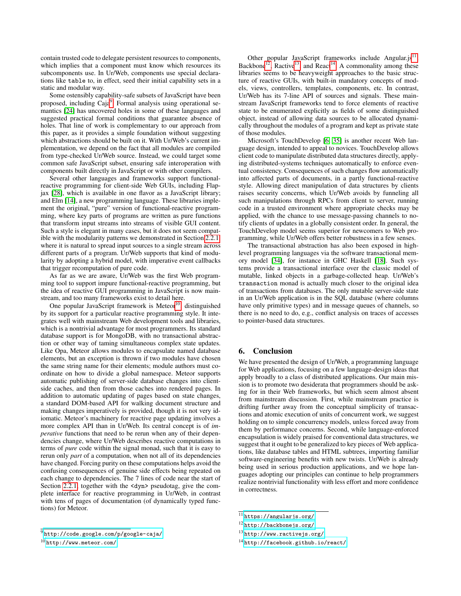contain trusted code to delegate persistent resources to components, which implies that a component must know which resources its subcomponents use. In Ur/Web, components use special declarations like table to, in effect, seed their initial capability sets in a static and modular way.

Some ostensibly capability-safe subsets of JavaScript have been proposed, including Caja<sup>[9](#page-11-0)</sup>. Formal analysis using operational semantics [\[24\]](#page-12-32) has uncovered holes in some of these languages and suggested practical formal conditions that guarantee absence of holes. That line of work is complementary to our approach from this paper, as it provides a simple foundation without suggesting which abstractions should be built on it. With Ur/Web's current implementation, we depend on the fact that all modules are compiled from type-checked Ur/Web source. Instead, we could target some common safe JavaScript subset, ensuring safe interoperation with components built directly in JavaScript or with other compilers.

Several other languages and frameworks support functionalreactive programming for client-side Web GUIs, including Flapjax [\[28\]](#page-12-10), which is available in one flavor as a JavaScript library; and Elm [\[14\]](#page-12-11), a new programming language. These libraries implement the original, "pure" version of functional-reactive programming, where key parts of programs are written as pure functions that transform input streams into streams of visible GUI content. Such a style is elegant in many cases, but it does not seem compatible with the modularity patterns we demonstrated in Section [2.2.1,](#page-4-1) where it is natural to spread input sources to a single stream across different parts of a program. Ur/Web supports that kind of modularity by adopting a hybrid model, with imperative event callbacks that trigger recomputation of pure code.

As far as we are aware, Ur/Web was the first Web programming tool to support impure functional-reactive programming, but the idea of reactive GUI programming in JavaScript is now mainstream, and too many frameworks exist to detail here.

One popular JavaScript framework is Meteor $^{10}$  $^{10}$  $^{10}$ , distinguished by its support for a particular reactive programming style. It integrates well with mainstream Web development tools and libraries, which is a nontrivial advantage for most programmers. Its standard database support is for MongoDB, with no transactional abstraction or other way of taming simultaneous complex state updates. Like Opa, Meteor allows modules to encapsulate named database elements, but an exception is thrown if two modules have chosen the same string name for their elements; module authors must coordinate on how to divide a global namespace. Meteor supports automatic publishing of server-side database changes into clientside caches, and then from those caches into rendered pages. In addition to automatic updating of pages based on state changes, a standard DOM-based API for walking document structure and making changes imperatively is provided, though it is not very idiomatic. Meteor's machinery for reactive page updating involves a more complex API than in Ur/Web. Its central concept is of *imperative* functions that need to be rerun when any of their dependencies change, where Ur/Web describes reactive computations in terms of *pure* code within the signal monad, such that it is easy to rerun only *part* of a computation, when not all of its dependencies have changed. Forcing purity on these computations helps avoid the confusing consequences of genuine side effects being repeated on each change to dependencies. The 7 lines of code near the start of Section [2.2.1,](#page-4-1) together with the  $\langle \text{dyn}\rangle$  pseudotag, give the complete interface for reactive programming in Ur/Web, in contrast with tens of pages of documentation (of dynamically typed functions) for Meteor.

Other popular JavaScript frameworks include Angular.js $^{11}$  $^{11}$  $^{11}$ , Backbone<sup>[12](#page-11-3)</sup>, Ractive<sup>[13](#page-11-4)</sup>, and React<sup>[14](#page-11-5)</sup>. A commonality among these libraries seems to be heavyweight approaches to the basic structure of reactive GUIs, with built-in mandatory concepts of models, views, controllers, templates, components, etc. In contrast, Ur/Web has its 7-line API of sources and signals. These mainstream JavaScript frameworks tend to force elements of reactive state to be enumerated explicitly as fields of some distinguished object, instead of allowing data sources to be allocated dynamically throughout the modules of a program and kept as private state of those modules.

Microsoft's TouchDevelop [\[6,](#page-12-33) [35\]](#page-12-34) is another recent Web language design, intended to appeal to novices. TouchDevelop allows client code to manipulate distributed data structures directly, applying distributed-systems techniques automatically to enforce eventual consistency. Consequences of such changes flow automatically into affected parts of documents, in a partly functional-reactive style. Allowing direct manipulation of data structures by clients raises security concerns, which Ur/Web avoids by funneling all such manipulations through RPCs from client to server, running code in a trusted environment where appropriate checks may be applied, with the chance to use message-passing channels to notify clients of updates in a globally consistent order. In general, the TouchDevelop model seems superior for newcomers to Web programming, while Ur/Web offers better robustness in a few senses.

The transactional abstraction has also been exposed in highlevel programming languages via the software transactional memory model [\[34\]](#page-12-35), for instance in GHC Haskell [\[18\]](#page-12-36). Such systems provide a transactional interface over the classic model of mutable, linked objects in a garbage-collected heap. Ur/Web's transaction monad is actually much closer to the original idea of transactions from databases. The only mutable server-side state in an Ur/Web application is in the SQL database (where columns have only primitive types) and in message queues of channels, so there is no need to do, e.g., conflict analysis on traces of accesses to pointer-based data structures.

#### 6. Conclusion

We have presented the design of Ur/Web, a programming language for Web applications, focusing on a few language-design ideas that apply broadly to a class of distributed applications. Our main mission is to promote two desiderata that programmers should be asking for in their Web frameworks, but which seem almost absent from mainstream discussion. First, while mainstream practice is drifting further away from the conceptual simplicity of transactions and atomic execution of units of concurrent work, we suggest holding on to simple concurrency models, unless forced away from them by performance concerns. Second, while language-enforced encapsulation is widely praised for conventional data structures, we suggest that it ought to be generalized to key pieces of Web applications, like database tables and HTML subtrees, importing familiar software-engineering benefits with new twists. Ur/Web is already being used in serious production applications, and we hope languages adopting our principles can continue to help programmers realize nontrivial functionality with less effort and more confidence in correctness.

<span id="page-11-0"></span><sup>9</sup> <http://code.google.com/p/google-caja/>

<span id="page-11-1"></span><sup>10</sup> <http://www.meteor.com/>

<span id="page-11-2"></span><sup>11</sup> <https://angularjs.org/>

<span id="page-11-3"></span><sup>12</sup> <http://backbonejs.org/>

<span id="page-11-4"></span><sup>13</sup> <http://www.ractivejs.org/>

<span id="page-11-5"></span><sup>14</sup> <http://facebook.github.io/react/>